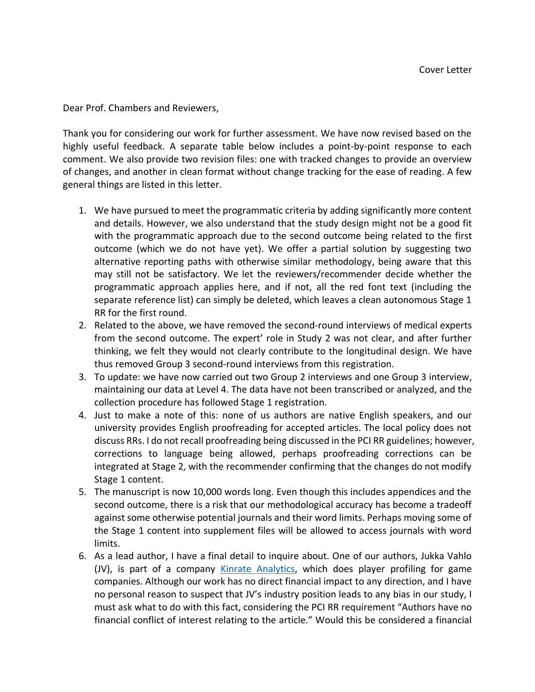Dear Prof. Chambers and Reviewers,

Thank you for considering our work for further assessment. We have now revised based on the highly useful feedback. A separate table below includes a point-by-point response to each comment. We also provide two revision files: one with tracked changes to provide an overview of changes, and another in clean format without change tracking for the ease of reading. A few general things are listed in this letter.

- 1. We have pursued to meet the programmatic criteria by adding significantly more content and details. However, we also understand that the study design might not be a good fit with the programmatic approach due to the second outcome being related to the first outcome (which we do not have yet). We offer a partial solution by suggesting two alternative reporting paths with otherwise similar methodology, being aware that this may still not be satisfactory. We let the reviewers/recommender decide whether the programmatic approach applies here, and if not, all the red font text (including the separate reference list) can simply be deleted, which leaves a clean autonomous Stage 1 RR for the first round.
- 2. Related to the above, we have removed the second-round interviews of medical experts from the second outcome. The expert' role in Study 2 was not clear, and after further thinking, we felt they would not clearly contribute to the longitudinal design. We have thus removed Group 3 second-round interviews from this registration.
- 3. To update: we have now carried out two Group 2 interviews and one Group 3 interview, maintaining our data at Level 4. The data have not been transcribed or analyzed, and the collection procedure has followed Stage 1 registration.
- 4. Just to make a note of this: none of us authors are native English speakers, and our university provides English proofreading for accepted articles. The local policy does not discuss RRs. I do not recall proofreading being discussed in the PCI RR guidelines; however, corrections to language being allowed, perhaps proofreading corrections can be integrated at Stage 2, with the recommender confirming that the changes do not modify Stage 1 content.
- 5. The manuscript is now 10,000 words long. Even though this includes appendices and the second outcome, there is a risk that our methodological accuracy has become a tradeoff against some otherwise potential journals and their word limits. Perhaps moving some of the Stage 1 content into supplement files will be allowed to access journals with word limits.
- 6. As a lead author, I have a final detail to inquire about. One of our authors, Jukka Vahlo (JV), is part of a company [Kinrate Analytics,](https://kinrateanalytics.com/) which does player profiling for game companies. Although our work has no direct financial impact to any direction, and I have no personal reason to suspect that JV's industry position leads to any bias in our study, I must ask what to do with this fact, considering the PCI RR requirement "Authors have no financial conflict of interest relating to the article." Would this be considered a financial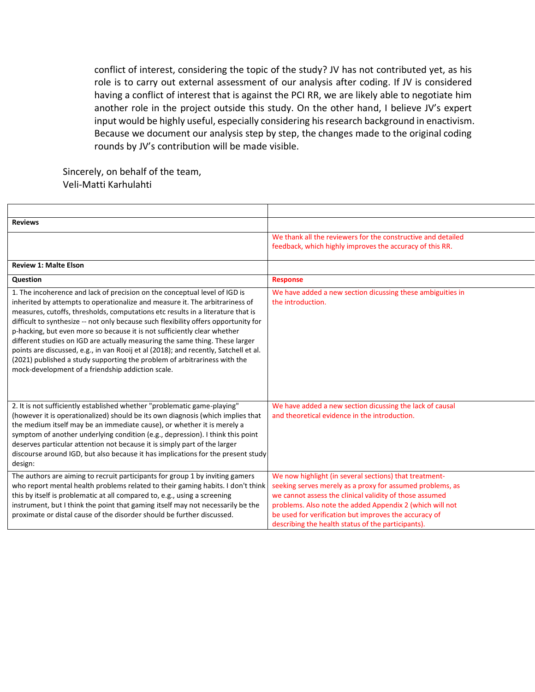conflict of interest, considering the topic of the study? JV has not contributed yet, as his role is to carry out external assessment of our analysis after coding. If JV is considered having a conflict of interest that is against the PCI RR, we are likely able to negotiate him another role in the project outside this study. On the other hand, I believe JV's expert input would be highly useful, especially considering his research background in enactivism. Because we document our analysis step by step, the changes made to the original coding rounds by JV's contribution will be made visible.

Sincerely, on behalf of the team, Veli-Matti Karhulahti

| <b>Reviews</b>                                                                                                                                                                                                                                                                                                                                                                                                                                                                                                                                                                                                                                                                                                             |                                                                                                                                                                                                                                                                                                                                                           |
|----------------------------------------------------------------------------------------------------------------------------------------------------------------------------------------------------------------------------------------------------------------------------------------------------------------------------------------------------------------------------------------------------------------------------------------------------------------------------------------------------------------------------------------------------------------------------------------------------------------------------------------------------------------------------------------------------------------------------|-----------------------------------------------------------------------------------------------------------------------------------------------------------------------------------------------------------------------------------------------------------------------------------------------------------------------------------------------------------|
|                                                                                                                                                                                                                                                                                                                                                                                                                                                                                                                                                                                                                                                                                                                            | We thank all the reviewers for the constructive and detailed<br>feedback, which highly improves the accuracy of this RR.                                                                                                                                                                                                                                  |
| <b>Review 1: Malte Elson</b>                                                                                                                                                                                                                                                                                                                                                                                                                                                                                                                                                                                                                                                                                               |                                                                                                                                                                                                                                                                                                                                                           |
| Question                                                                                                                                                                                                                                                                                                                                                                                                                                                                                                                                                                                                                                                                                                                   | <b>Response</b>                                                                                                                                                                                                                                                                                                                                           |
| 1. The incoherence and lack of precision on the conceptual level of IGD is<br>inherited by attempts to operationalize and measure it. The arbitrariness of<br>measures, cutoffs, thresholds, computations etc results in a literature that is<br>difficult to synthesize -- not only because such flexibility offers opportunity for<br>p-hacking, but even more so because it is not sufficiently clear whether<br>different studies on IGD are actually measuring the same thing. These larger<br>points are discussed, e.g., in van Rooij et al (2018); and recently, Satchell et al.<br>(2021) published a study supporting the problem of arbitrariness with the<br>mock-development of a friendship addiction scale. | We have added a new section dicussing these ambiguities in<br>the introduction.                                                                                                                                                                                                                                                                           |
| 2. It is not sufficiently established whether "problematic game-playing"<br>(however it is operationalized) should be its own diagnosis (which implies that<br>the medium itself may be an immediate cause), or whether it is merely a<br>symptom of another underlying condition (e.g., depression). I think this point<br>deserves particular attention not because it is simply part of the larger<br>discourse around IGD, but also because it has implications for the present study<br>design:                                                                                                                                                                                                                       | We have added a new section dicussing the lack of causal<br>and theoretical evidence in the introduction.                                                                                                                                                                                                                                                 |
| The authors are aiming to recruit participants for group 1 by inviting gamers<br>who report mental health problems related to their gaming habits. I don't think<br>this by itself is problematic at all compared to, e.g., using a screening<br>instrument, but I think the point that gaming itself may not necessarily be the<br>proximate or distal cause of the disorder should be further discussed.                                                                                                                                                                                                                                                                                                                 | We now highlight (in several sections) that treatment-<br>seeking serves merely as a proxy for assumed problems, as<br>we cannot assess the clinical validity of those assumed<br>problems. Also note the added Appendix 2 (which will not<br>be used for verification but improves the accuracy of<br>describing the health status of the participants). |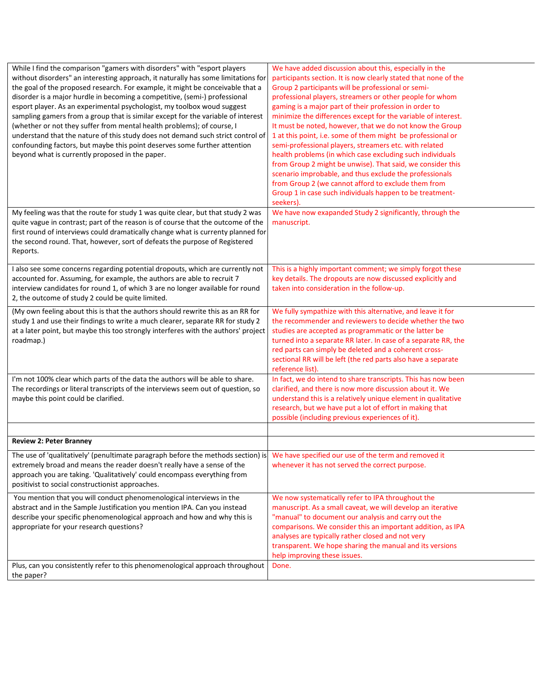| While I find the comparison "gamers with disorders" with "esport players<br>without disorders" an interesting approach, it naturally has some limitations for<br>the goal of the proposed research. For example, it might be conceivable that a<br>disorder is a major hurdle in becoming a competitive, (semi-) professional<br>esport player. As an experimental psychologist, my toolbox woud suggest<br>sampling gamers from a group that is similar except for the variable of interest<br>(whether or not they suffer from mental health problems); of course, I<br>understand that the nature of this study does not demand such strict control of<br>confounding factors, but maybe this point deserves some further attention<br>beyond what is currently proposed in the paper. | We have added discussion about this, especially in the<br>participants section. It is now clearly stated that none of the<br>Group 2 participants will be professional or semi-<br>professional players, streamers or other people for whom<br>gaming is a major part of their profession in order to<br>minimize the differences except for the variable of interest.<br>It must be noted, however, that we do not know the Group<br>1 at this point, i.e. some of them might be professional or<br>semi-professional players, streamers etc. with related<br>health problems (in which case excluding such individuals<br>from Group 2 might be unwise). That said, we consider this<br>scenario improbable, and thus exclude the professionals<br>from Group 2 (we cannot afford to exclude them from<br>Group 1 in case such individuals happen to be treatment-<br>seekers). |
|-------------------------------------------------------------------------------------------------------------------------------------------------------------------------------------------------------------------------------------------------------------------------------------------------------------------------------------------------------------------------------------------------------------------------------------------------------------------------------------------------------------------------------------------------------------------------------------------------------------------------------------------------------------------------------------------------------------------------------------------------------------------------------------------|-----------------------------------------------------------------------------------------------------------------------------------------------------------------------------------------------------------------------------------------------------------------------------------------------------------------------------------------------------------------------------------------------------------------------------------------------------------------------------------------------------------------------------------------------------------------------------------------------------------------------------------------------------------------------------------------------------------------------------------------------------------------------------------------------------------------------------------------------------------------------------------|
| My feeling was that the route for study 1 was quite clear, but that study 2 was<br>quite vague in contrast; part of the reason is of course that the outcome of the<br>first round of interviews could dramatically change what is currenty planned for<br>the second round. That, however, sort of defeats the purpose of Registered<br>Reports.                                                                                                                                                                                                                                                                                                                                                                                                                                         | We have now exapanded Study 2 significantly, through the<br>manuscript.                                                                                                                                                                                                                                                                                                                                                                                                                                                                                                                                                                                                                                                                                                                                                                                                           |
| I also see some concerns regarding potential dropouts, which are currently not<br>accounted for. Assuming, for example, the authors are able to recruit 7<br>interview candidates for round 1, of which 3 are no longer available for round<br>2, the outcome of study 2 could be quite limited.                                                                                                                                                                                                                                                                                                                                                                                                                                                                                          | This is a highly important comment; we simply forgot these<br>key details. The dropouts are now discussed explicitly and<br>taken into consideration in the follow-up.                                                                                                                                                                                                                                                                                                                                                                                                                                                                                                                                                                                                                                                                                                            |
| (My own feeling about this is that the authors should rewrite this as an RR for<br>study 1 and use their findings to write a much clearer, separate RR for study 2<br>at a later point, but maybe this too strongly interferes with the authors' project<br>roadmap.)                                                                                                                                                                                                                                                                                                                                                                                                                                                                                                                     | We fully sympathize with this alternative, and leave it for<br>the recommender and reviewers to decide whether the two<br>studies are accepted as programmatic or the latter be<br>turned into a separate RR later. In case of a separate RR, the<br>red parts can simply be deleted and a coherent cross-<br>sectional RR will be left (the red parts also have a separate<br>reference list).                                                                                                                                                                                                                                                                                                                                                                                                                                                                                   |
| I'm not 100% clear which parts of the data the authors will be able to share.<br>The recordings or literal transcripts of the interviews seem out of question, so<br>maybe this point could be clarified.                                                                                                                                                                                                                                                                                                                                                                                                                                                                                                                                                                                 | In fact, we do intend to share transcripts. This has now been<br>clarified, and there is now more discussion about it. We<br>understand this is a relatively unique element in qualitative<br>research, but we have put a lot of effort in making that<br>possible (including previous experiences of it).                                                                                                                                                                                                                                                                                                                                                                                                                                                                                                                                                                        |
| <b>Review 2: Peter Branney</b>                                                                                                                                                                                                                                                                                                                                                                                                                                                                                                                                                                                                                                                                                                                                                            |                                                                                                                                                                                                                                                                                                                                                                                                                                                                                                                                                                                                                                                                                                                                                                                                                                                                                   |
| The use of 'qualitatively' (penultimate paragraph before the methods section) is<br>extremely broad and means the reader doesn't really have a sense of the<br>approach you are taking. 'Qualitatively' could encompass everything from<br>positivist to social constructionist approaches.                                                                                                                                                                                                                                                                                                                                                                                                                                                                                               | We have specified our use of the term and removed it<br>whenever it has not served the correct purpose.                                                                                                                                                                                                                                                                                                                                                                                                                                                                                                                                                                                                                                                                                                                                                                           |
| You mention that you will conduct phenomenological interviews in the<br>abstract and in the Sample Justification you mention IPA. Can you instead<br>describe your specific phenomenological approach and how and why this is<br>appropriate for your research questions?                                                                                                                                                                                                                                                                                                                                                                                                                                                                                                                 | We now systematically refer to IPA throughout the<br>manuscript. As a small caveat, we will develop an iterative<br>"manual" to document our analysis and carry out the<br>comparisons. We consider this an important addition, as IPA<br>analyses are typically rather closed and not very<br>transparent. We hope sharing the manual and its versions<br>help improving these issues.                                                                                                                                                                                                                                                                                                                                                                                                                                                                                           |
| Plus, can you consistently refer to this phenomenological approach throughout<br>the paper?                                                                                                                                                                                                                                                                                                                                                                                                                                                                                                                                                                                                                                                                                               | Done.                                                                                                                                                                                                                                                                                                                                                                                                                                                                                                                                                                                                                                                                                                                                                                                                                                                                             |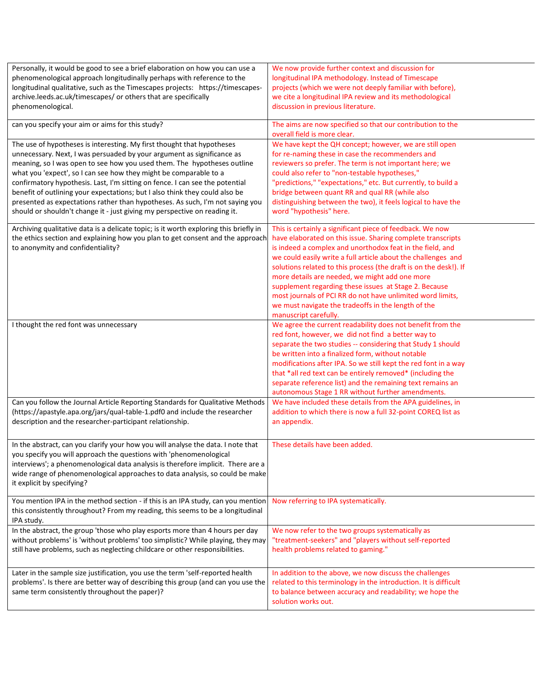| Personally, it would be good to see a brief elaboration on how you can use a                                                                                       | We now provide further context and discussion for                 |
|--------------------------------------------------------------------------------------------------------------------------------------------------------------------|-------------------------------------------------------------------|
| phenomenological approach longitudinally perhaps with reference to the                                                                                             | longitudinal IPA methodology. Instead of Timescape                |
| longitudinal qualitative, such as the Timescapes projects: https://timescapes-                                                                                     | projects (which we were not deeply familiar with before),         |
| archive.leeds.ac.uk/timescapes/ or others that are specifically                                                                                                    | we cite a longitudinal IPA review and its methodological          |
| phenomenological.                                                                                                                                                  | discussion in previous literature.                                |
| can you specify your aim or aims for this study?                                                                                                                   | The aims are now specified so that our contribution to the        |
|                                                                                                                                                                    | overall field is more clear.                                      |
| The use of hypotheses is interesting. My first thought that hypotheses                                                                                             | We have kept the QH concept; however, we are still open           |
| unnecessary. Next, I was persuaded by your argument as significance as                                                                                             | for re-naming these in case the recommenders and                  |
| meaning, so I was open to see how you used them. The hypotheses outline                                                                                            | reviewers so prefer. The term is not important here; we           |
| what you 'expect', so I can see how they might be comparable to a                                                                                                  | could also refer to "non-testable hypotheses,"                    |
| confirmatory hypothesis. Last, I'm sitting on fence. I can see the potential                                                                                       | "predictions," "expectations," etc. But currently, to build a     |
| benefit of outlining your expectations; but I also think they could also be                                                                                        | bridge between quant RR and qual RR (while also                   |
| presented as expectations rather than hypotheses. As such, I'm not saying you                                                                                      | distinguishing between the two), it feels logical to have the     |
| should or shouldn't change it - just giving my perspective on reading it.                                                                                          | word "hypothesis" here.                                           |
| Archiving qualitative data is a delicate topic; is it worth exploring this briefly in                                                                              | This is certainly a significant piece of feedback. We now         |
| the ethics section and explaining how you plan to get consent and the approach                                                                                     | have elaborated on this issue. Sharing complete transcripts       |
| to anonymity and confidentiality?                                                                                                                                  | is indeed a complex and unorthodox feat in the field, and         |
|                                                                                                                                                                    | we could easily write a full article about the challenges and     |
|                                                                                                                                                                    | solutions related to this process (the draft is on the desk!). If |
|                                                                                                                                                                    | more details are needed, we might add one more                    |
|                                                                                                                                                                    | supplement regarding these issues at Stage 2. Because             |
|                                                                                                                                                                    | most journals of PCI RR do not have unlimited word limits,        |
|                                                                                                                                                                    | we must navigate the tradeoffs in the length of the               |
|                                                                                                                                                                    | manuscript carefully.                                             |
| I thought the red font was unnecessary                                                                                                                             | We agree the current readability does not benefit from the        |
|                                                                                                                                                                    | red font, however, we did not find a better way to                |
|                                                                                                                                                                    | separate the two studies -- considering that Study 1 should       |
|                                                                                                                                                                    | be written into a finalized form, without notable                 |
|                                                                                                                                                                    | modifications after IPA. So we still kept the red font in a way   |
|                                                                                                                                                                    | that *all red text can be entirely removed* (including the        |
|                                                                                                                                                                    | separate reference list) and the remaining text remains an        |
|                                                                                                                                                                    | autonomous Stage 1 RR without further amendments.                 |
| Can you follow the Journal Article Reporting Standards for Qualitative Methods                                                                                     | We have included these details from the APA guidelines, in        |
| (https://apastyle.apa.org/jars/qual-table-1.pdf0 and include the researcher<br>description and the researcher-participant relationship.                            | addition to which there is now a full 32-point COREQ list as      |
|                                                                                                                                                                    | an appendix.                                                      |
| In the abstract, can you clarify your how you will analyse the data. I note that                                                                                   | These details have been added.                                    |
| you specify you will approach the questions with 'phenomenological                                                                                                 |                                                                   |
| interviews'; a phenomenological data analysis is therefore implicit. There are a                                                                                   |                                                                   |
| wide range of phenomenological approaches to data analysis, so could be make                                                                                       |                                                                   |
| it explicit by specifying?                                                                                                                                         |                                                                   |
|                                                                                                                                                                    |                                                                   |
| You mention IPA in the method section - if this is an IPA study, can you mention<br>this consistently throughout? From my reading, this seems to be a longitudinal | Now referring to IPA systematically.                              |
| IPA study.                                                                                                                                                         |                                                                   |
| In the abstract, the group 'those who play esports more than 4 hours per day                                                                                       | We now refer to the two groups systematically as                  |
| without problems' is 'without problems' too simplistic? While playing, they may                                                                                    | "treatment-seekers" and "players without self-reported            |
| still have problems, such as neglecting childcare or other responsibilities.                                                                                       | health problems related to gaming."                               |
|                                                                                                                                                                    |                                                                   |
| Later in the sample size justification, you use the term 'self-reported health                                                                                     | In addition to the above, we now discuss the challenges           |
| problems'. Is there are better way of describing this group (and can you use the                                                                                   | related to this terminology in the introduction. It is difficult  |
| same term consistently throughout the paper)?                                                                                                                      | to balance between accuracy and readability; we hope the          |
|                                                                                                                                                                    | solution works out.                                               |
|                                                                                                                                                                    |                                                                   |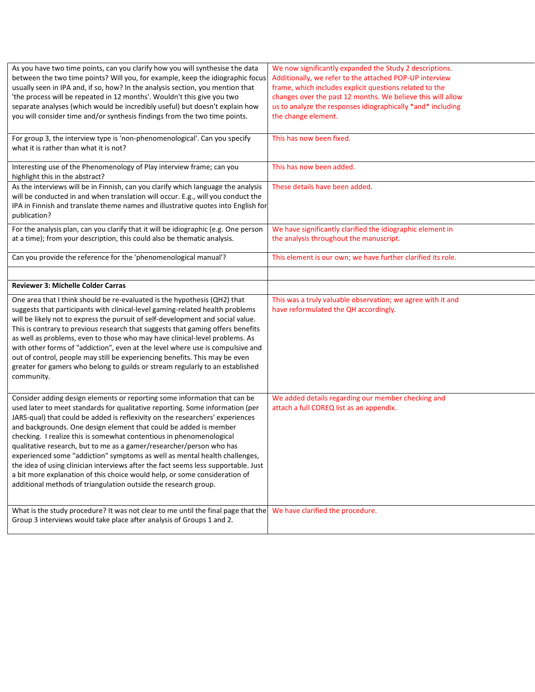| As you have two time points, can you clarify how you will synthesise the data<br>between the two time points? Will you, for example, keep the idiographic focus<br>usually seen in IPA and, if so, how? In the analysis section, you mention that<br>'the process will be repeated in 12 months'. Wouldn't this give you two<br>separate analyses (which would be incredibly useful) but doesn't explain how<br>you will consider time and/or synthesis findings from the two time points.                                                                                                                                                                                                                                                                                            | We now significantly expanded the Study 2 descriptions.<br>Additionally, we refer to the attached POP-UP interview<br>frame, which includes explicit questions related to the<br>changes over the past 12 months. We believe this will allow<br>us to analyze the responses idiographically *and* including<br>the change element. |
|---------------------------------------------------------------------------------------------------------------------------------------------------------------------------------------------------------------------------------------------------------------------------------------------------------------------------------------------------------------------------------------------------------------------------------------------------------------------------------------------------------------------------------------------------------------------------------------------------------------------------------------------------------------------------------------------------------------------------------------------------------------------------------------|------------------------------------------------------------------------------------------------------------------------------------------------------------------------------------------------------------------------------------------------------------------------------------------------------------------------------------|
| For group 3, the interview type is 'non-phenomenological'. Can you specify                                                                                                                                                                                                                                                                                                                                                                                                                                                                                                                                                                                                                                                                                                            | This has now been fixed.                                                                                                                                                                                                                                                                                                           |
| what it is rather than what it is not?<br>Interesting use of the Phenomenology of Play interview frame; can you                                                                                                                                                                                                                                                                                                                                                                                                                                                                                                                                                                                                                                                                       | This has now been added.                                                                                                                                                                                                                                                                                                           |
| highlight this in the abstract?<br>As the interviews will be in Finnish, can you clarify which language the analysis<br>will be conducted in and when translation will occur. E.g., will you conduct the<br>IPA in Finnish and translate theme names and illustrative quotes into English for<br>publication?                                                                                                                                                                                                                                                                                                                                                                                                                                                                         | These details have been added.                                                                                                                                                                                                                                                                                                     |
| For the analysis plan, can you clarify that it will be idiographic (e.g. One person<br>at a time); from your description, this could also be thematic analysis.                                                                                                                                                                                                                                                                                                                                                                                                                                                                                                                                                                                                                       | We have significantly clarified the idiographic element in<br>the analysis throughout the manuscript.                                                                                                                                                                                                                              |
| Can you provide the reference for the 'phenomenological manual'?                                                                                                                                                                                                                                                                                                                                                                                                                                                                                                                                                                                                                                                                                                                      | This element is our own; we have further clarified its role.                                                                                                                                                                                                                                                                       |
| Reviewer 3: Michelle Colder Carras                                                                                                                                                                                                                                                                                                                                                                                                                                                                                                                                                                                                                                                                                                                                                    |                                                                                                                                                                                                                                                                                                                                    |
|                                                                                                                                                                                                                                                                                                                                                                                                                                                                                                                                                                                                                                                                                                                                                                                       |                                                                                                                                                                                                                                                                                                                                    |
| One area that I think should be re-evaluated is the hypothesis (QH2) that<br>suggests that participants with clinical-level gaming-related health problems<br>will be likely not to express the pursuit of self-development and social value.<br>This is contrary to previous research that suggests that gaming offers benefits<br>as well as problems, even to those who may have clinical-level problems. As<br>with other forms of "addiction", even at the level where use is compulsive and<br>out of control, people may still be experiencing benefits. This may be even<br>greater for gamers who belong to guilds or stream regularly to an established<br>community.                                                                                                       | This was a truly valuable observation; we agree with it and<br>have reformulated the QH accordingly.                                                                                                                                                                                                                               |
| Consider adding design elements or reporting some information that can be<br>used later to meet standards for qualitative reporting. Some information (per<br>JARS-qual) that could be added is reflexivity on the researchers' experiences<br>and backgrounds. One design element that could be added is member<br>checking. I realize this is somewhat contentious in phenomenological<br>qualitative research, but to me as a gamer/researcher/person who has<br>experienced some "addiction" symptoms as well as mental health challenges,<br>the idea of using clinician interviews after the fact seems less supportable. Just<br>a bit more explanation of this choice would help, or some consideration of<br>additional methods of triangulation outside the research group. | We added details regarding our member checking and<br>attach a full COREQ list as an appendix.                                                                                                                                                                                                                                     |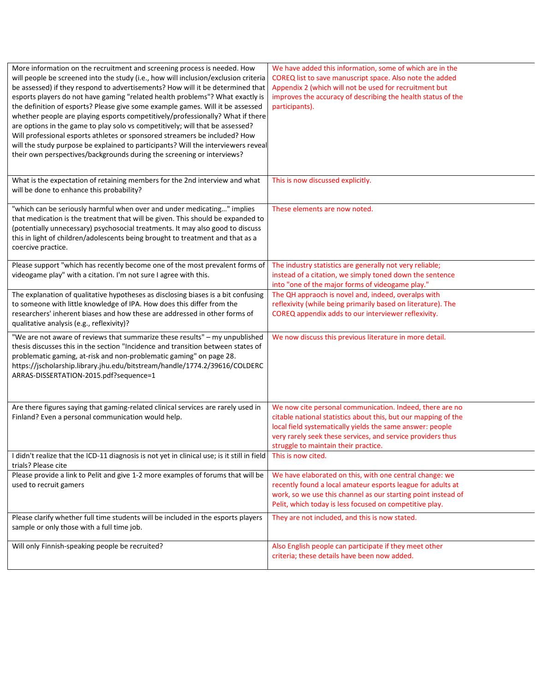| More information on the recruitment and screening process is needed. How<br>will people be screened into the study (i.e., how will inclusion/exclusion criteria<br>be assessed) if they respond to advertisements? How will it be determined that<br>esports players do not have gaming "related health problems"? What exactly is<br>the definition of esports? Please give some example games. Will it be assessed<br>whether people are playing esports competitively/professionally? What if there<br>are options in the game to play solo vs competitively; will that be assessed?<br>Will professional esports athletes or sponsored streamers be included? How<br>will the study purpose be explained to participants? Will the interviewers reveal<br>their own perspectives/backgrounds during the screening or interviews? | We have added this information, some of which are in the<br>COREQ list to save manuscript space. Also note the added<br>Appendix 2 (which will not be used for recruitment but<br>improves the accuracy of describing the health status of the<br>participants).                               |
|--------------------------------------------------------------------------------------------------------------------------------------------------------------------------------------------------------------------------------------------------------------------------------------------------------------------------------------------------------------------------------------------------------------------------------------------------------------------------------------------------------------------------------------------------------------------------------------------------------------------------------------------------------------------------------------------------------------------------------------------------------------------------------------------------------------------------------------|------------------------------------------------------------------------------------------------------------------------------------------------------------------------------------------------------------------------------------------------------------------------------------------------|
| What is the expectation of retaining members for the 2nd interview and what<br>will be done to enhance this probability?                                                                                                                                                                                                                                                                                                                                                                                                                                                                                                                                                                                                                                                                                                             | This is now discussed explicitly.                                                                                                                                                                                                                                                              |
| "which can be seriously harmful when over and under medicating" implies<br>that medication is the treatment that will be given. This should be expanded to<br>(potentially unnecessary) psychosocial treatments. It may also good to discuss<br>this in light of children/adolescents being brought to treatment and that as a<br>coercive practice.                                                                                                                                                                                                                                                                                                                                                                                                                                                                                 | These elements are now noted.                                                                                                                                                                                                                                                                  |
| Please support "which has recently become one of the most prevalent forms of<br>videogame play" with a citation. I'm not sure I agree with this.                                                                                                                                                                                                                                                                                                                                                                                                                                                                                                                                                                                                                                                                                     | The industry statistics are generally not very reliable;<br>instead of a citation, we simply toned down the sentence<br>into "one of the major forms of videogame play."                                                                                                                       |
| The explanation of qualitative hypotheses as disclosing biases is a bit confusing<br>to someone with little knowledge of IPA. How does this differ from the<br>researchers' inherent biases and how these are addressed in other forms of<br>qualitative analysis (e.g., reflexivity)?                                                                                                                                                                                                                                                                                                                                                                                                                                                                                                                                               | The QH appraoch is novel and, indeed, overalps with<br>reflexivity (while being primarily based on literature). The<br>COREQ appendix adds to our interviewer reflexivity.                                                                                                                     |
| "We are not aware of reviews that summarize these results" - my unpublished<br>thesis discusses this in the section "Incidence and transition between states of<br>problematic gaming, at-risk and non-problematic gaming" on page 28.<br>https://jscholarship.library.jhu.edu/bitstream/handle/1774.2/39616/COLDERC<br>ARRAS-DISSERTATION-2015.pdf?sequence=1                                                                                                                                                                                                                                                                                                                                                                                                                                                                       | We now discuss this previous literature in more detail.                                                                                                                                                                                                                                        |
| Are there figures saying that gaming-related clinical services are rarely used in<br>Finland? Even a personal communication would help.                                                                                                                                                                                                                                                                                                                                                                                                                                                                                                                                                                                                                                                                                              | We now cite personal communication. Indeed, there are no<br>citable national statistics about this, but our mapping of the<br>local field systematically yields the same answer: people<br>very rarely seek these services, and service providers thus<br>struggle to maintain their practice. |
| I didn't realize that the ICD-11 diagnosis is not yet in clinical use; is it still in field<br>trials? Please cite                                                                                                                                                                                                                                                                                                                                                                                                                                                                                                                                                                                                                                                                                                                   | This is now cited.                                                                                                                                                                                                                                                                             |
| Please provide a link to Pelit and give 1-2 more examples of forums that will be<br>used to recruit gamers                                                                                                                                                                                                                                                                                                                                                                                                                                                                                                                                                                                                                                                                                                                           | We have elaborated on this, with one central change: we<br>recently found a local amateur esports league for adults at<br>work, so we use this channel as our starting point instead of<br>Pelit, which today is less focused on competitive play.                                             |
| Please clarify whether full time students will be included in the esports players<br>sample or only those with a full time job.                                                                                                                                                                                                                                                                                                                                                                                                                                                                                                                                                                                                                                                                                                      | They are not included, and this is now stated.                                                                                                                                                                                                                                                 |
| Will only Finnish-speaking people be recruited?                                                                                                                                                                                                                                                                                                                                                                                                                                                                                                                                                                                                                                                                                                                                                                                      | Also English people can participate if they meet other<br>criteria; these details have been now added.                                                                                                                                                                                         |